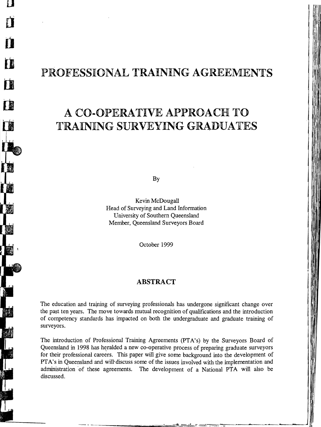# PROFESSIONAL TRAINING AGREEMENTS

d

T

T

II

T

**TE** 

# A CO-OPERATIVE APPROACH TO **TRAINING SURVEYING GRADUATES**

By

Kevin McDougall Head of Surveying and Land Information University of Southern Queensland Member, Queensland Surveyors Board

October 1999

#### **ABSTRACT**

The education and training of surveying professionals has undergone significant change over the past ten years. The move towards mutual recognition of qualifications and the introduction of competency standards has impacted on both the undergraduate and graduate training of surveyors.

The introduction of Professional Training Agreements (PTA's) by the Surveyors Board of Queensland in 1998 has heralded a new co-operative process of preparing graduate surveyors for their professional careers. This paper will give some background into the development of PTA's in Queensland and will discuss some of the issues involved with the implementation and administration of these agreements. The development of a National PTA will also be discussed.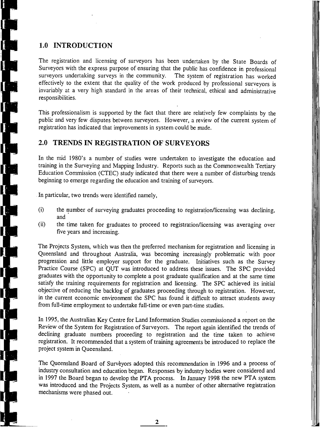# **1.0 INTRODUCTION**

I

The registration and licensing of surveyors has been undertaken by the State Boards of Surveyors with the express purpose of ensuring that the public has confidence in professional surveyors undertaking surveys in the community. The system of registration has worked The system of registration has worked effectively to the extent that the quality of the work produced by professional surveyors is invariably at a very high standard in the areas of their technical, ethical and administrative responsibilities.

This professionalism is supported by the fact that there are relatively few complaints by the public and very few disputes between surveyors. However, a review of the current system of registration has indicated that improvements in system could be made.

## **2.0 TRENDS IN REGISTRATION OF SURVEYORS**

In the mid 1980's a number of studies were undertaken to investigate the education and training in the Surveying and Mapping Industry. Reports such as the Commonwealth Tertiary Education Commission (CTEC) study indicated that there were a number of disturbing trends beginning to emerge regarding the education and training of surveyors.

. In particular, two trends were identified namely,

- (i) the number of surveying graduates proceeding to registration/licensing was declining, and
- (ii) the time taken for graduates to proceed to registration/licensing was averaging over five years and increasing.

The Projects System, which was then the preferred mechanism for registration and licensing in Queensland and throughout Australia, was becoming increasingly problematic with poor progression and little employer support for the graduate. Initiatives such as the Survey Practice Course (SPC) at QUT was introduced to address these issues. The SPC provided graduates with the opportunity to complete a post graduate qualification and at the same time satisfy the training requirements for registration and licensing. The SPC achieved its initial objective of reducing the backlog of graduates proceeding through to registration. However, in the current economic environment the SPC has found it difficult to attract students away from full-time employment to undertake full-time or even part-time studies.

In 1995, the Australian Key Centre for Land Information Studies commissioned a report on the Review of the System for Registration of Surveyors. The report again identified the trends of declining graduate numbers proceeding to registration and the time taken to achieve registration. It recommended that a system of training agreements be introduced to replace the project system in Queensland.

The Queensland Board of Surveyors adopted this recommendation in 1996 and a process of industry consultation and education began. Responses by industry bodies were considered and in 1997 the Board began to develop the PTA process. In January 1998 the new PTA system was introduced and the Projects System, as well as a number of other alternative registration mechanisms were phased out.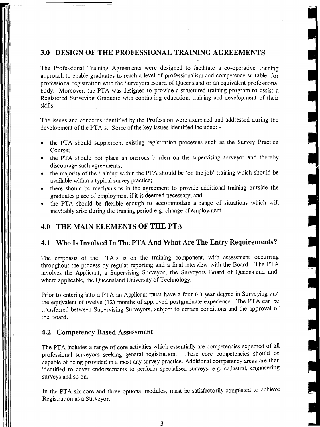## 3.0 DESIGN OF THE PROFESSIONAL TRAINING AGREEMENTS

The Professional Training Agreements were designed to facilitate a co~operative training approach to enable graduates to reach a level of professionalism and competence suitable for professional registration with the Surveyors Board of Queensland or an equivalent professionai body. Moreover, the PTA was designed to provide a structured training program to assist a Registered Surveying Graduate with continuing education, training and development of their skills.

The issues and concerns identified by the Profession were examined and addressed during the development of the PTA's. Some of the key issues identified included:

- the PTA should supplement existing registration processes such as the Survey Practice Course;
- the PTA should not place an onerous burden on the supervising surveyor and thereby discourage such agreements;
- the majority of the training within the PTA should be 'on the job' training which should be available within a typical survey practice;
- there should be mechanisms in the agreement to provide additional training outside the graduates place of employment if it is deemed necessary; and
- the PTA should be flexible enough to accommodate a range of situations which will inevitably arise during the training period e.g. change of employment.

## 4.0 THE MAIN ELEMENTS OF THE PTA

#### 4.1 Who Is Involved In The PTA And What Are The Entry Requirements?

The emphasis of the PTA's is on the training component, with assessment occurring throughout the process by regular reporting and a final interview with the Board. The PTA involves the Applicant, a Supervising Surveyor, the Surveyors Board of Queensland and, where applicable, the Queensland University of Technology.

Prior to entering into a PTA an Applicant must have a four (4) year degree in Surveying and the equivalent of twelve (12) months of approved postgraduate experience. The PTA can be transferred between Supervising Surveyors, subject to certain conditions and the approval of the Board.

#### 4.2 Competency Based Assessment

The PTA includes a range of core activities which essentially are competencies expected of all professional surveyors seeking general registration. These core competencies should be capable of being provided in almost any survey practice. Additional competency areas are then identified to cover 'endorsements to perform specialised surveys, e.g. cadastral, engineering surveys and so on.

In the PTA six core and three optional modules, must be satisfactorily completed to achieve Registration as a Surveyor.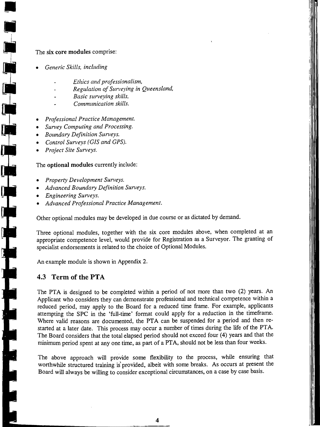#### The six core modules comprise:

*• Generic Skills, including* 

•

**•** 

- *Ethics and professionalism,*
- *Regulation of Surveying in Queensland,*
- *Basic surveying skills,*
- *Communication skills.*
- *Professional Practice Management.*
- *Survey Computing and Processing.*
- *Boundary Definition Surveys.*
- *Control Surveys (GIS and GPS).*
- *Project Site Surveys.*

#### The optional modules currently include:

- *Property Development Surveys.*
- *Advanced Boundary Definition Surveys.*
- *Engineering Surveys.*
- *Advanced Professional Practice Management.*

Other optional modules may be developed in due course or as dictated by demand.

Three optional modules, together with the six core modules above, when completed at an appropriate competence level, would provide for Registration as a Surveyor. The granting of specialist endorsements is related to the choice of Optional Modules.

An example module is shown in Appendix 2.

#### **4.3 Term of the PTA**

The PTA is designed to be completed within a period of not more than two (2) years. An Applicant who considers they can demonstrate professional and technical competence within a reduced period, may apply to the Board for a reduced time frame. For example, applicants attempting the SPC in the 'full-time' format could apply for a reduction in the timeframe. Where valid reasons are documented, the PTA can be suspended for a period and then restarted at a later date. This process may occur a number of times during the life of the PTA. The Board considers that the total elapsed period should not exceed four (4) years and that the minimum period spent at anyone time, as part of a PTA, should not be less than four weeks.

The above approach will provide some flexibility to the process, while ensuring that worthwhile structured training is' provided, albeit with some breaks. As occurs at present the Board will always be willing to consider exceptional circumstances, on a case by case basis.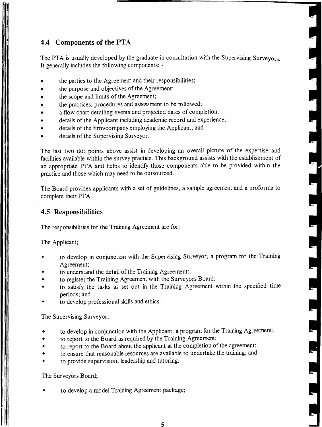# **4.4 Components of the PTA**

The PTA is usually developed by the graduate in consultation with the Supervising Surveyors. It generally includes the following components: -

- the parties to the Agreement and their responsibilities;
- the purpose and objectives of the Agreement;
- the scope and limits of the Agreement;
- the practices, procedures and assessment to be followed;
- a flow chart detailing events and projected dates of completion;
- details of the Applicant including academic record and experience;
- details of the firm/company employing the Applicant; and
- details of the Supervising Surveyor.

The last two dot points above assist in developing an overall picture of the expertise and facilities available within the survey practice. This background assists with the establishment of an appropriate PTA and helps to identify those components able to be provided within the practice and those which may need to be outsourced.

The Board provides applicants with a set of guidelines, a sample agreement and a proforma to complete their PTA.

#### **4.5 Responsibilities**

The responsibilities for the Training Agreement are for:

The Applicant;

- to develop in conjunction with the Supervising Surveyor, a program for the Training Agreement;
- to understand the detail of the Training Agreement;
- to register the Training Agreement with the Surveyors Board;
- to satisfy the tasks as set out in the Training Agreement within the specified time periods; and
- to develop professional skills and ethics.

The Supervising Surveyor;

- to develop in conjunction with the Applicant, a program for the Training Agreement;
- to report to the Board as required by the Training Agreement;
- to report to the Board about the applicant at the completion of the agreement;
- to ensure that reasonable resources are available to undertake the training; and
- to provide supervision, leadership and tutoring.

The Surveyors Board;

to develop a model Training Agreement package;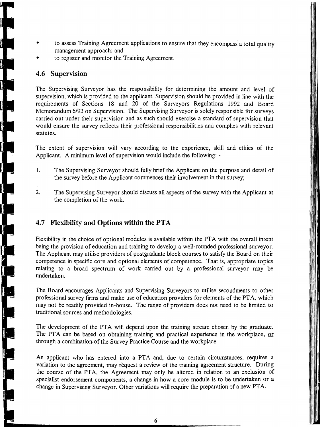- to assess Training Agreement applications to ensure that they encompass a total quality management approach; and
- to register and monitor the Training Agreement.

#### **4.6 Supervision**

The Supervising Surveyor has the responsibility for determining the amount and level of supervision, which is provided to the applicant. Supervision should be provided in line with the requirements of Sections 18 and 20 of the Surveyors Regulations 1992 and Board Memorandum 6/93 on Supervision. The Supervising Surveyor is solely responsible for surveys carried out under their supervision and as such should exercise a standard of supervision that would ensure the survey reflects their professional responsibilities and complies with relevant statutes.

The extent of supervision will vary according to the experience, skill and ethics of the Applicant. A minimum level of supervision would include the following:

- 1. The Supervising Surveyor should fully brief the Applicant on the purpose and detail of the survey before the Applicant commences their involvement in that survey;
- 2. The Supervising Surveyor should discuss all aspects of the survey with the Applicant at the completion of the work.

# **4.7 Flexibility and Options within the PTA**

Flexibility in the choice of optional modules is available within the PTA with the overall intent being the provision of education and training to develop a well-rounded professional surveyor. The Applicant may utilise providers of postgraduate block courses to satisfy the Board on their competence in specific core and optional elements of competence. That is, appropriate topics relating to a broad spectrum of work carried out by a professional surveyor may be undertaken.

The Board encourages Applicants and Supervising Surveyors to utilise secondments to other professional survey firms and make use of education providers for elements of the PTA, which may not be readily provided in-house. The range of providers does not need to be limited to traditional sources and methodologies.

The development of the PTA will depend upon the training stream chosen by the graduate. The PTA can be based on obtaining training and practical experience in the workplace, or through a combination,of the Survey Practice Course and the workplace.

An applicant who has entered into a PTA and, due to certain circumstances, requires a variation to the agreement, may rèquest a review of the training agreement structure. During the course of the PTA, the Agreement may only be altered in relation to an exclusion of specialist endorsement components, a change in how a core module is to be undertaken or a change in Supervising Surveyor. Other variations will require the preparation of a new PTA.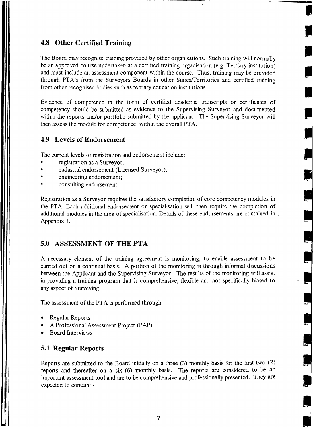#### **4.8 Other Certified Training**

The Board may recognise training provided by other organisations. Such training will normally be an approved course undertaken at a certified training organisation (e.g. Tertiary institution) and must include an assessment component within the course. Thus, training may be provided through PTA's from the Surveyors Boards in other Statesfferritories and certified training from other recognised bodies such as tertiary education institutions.

**I** 

J

J

J

'.,

Evidence of competence in the form of certified academic transcripts or certificates of competency should be submitted as evidence to the Supervising Surveyor and documented within the reports and/or portfolio submitted by the applicant. The Supervising Surveyor will then assess the module for competence, within the overall PTA.

# **4.9 Levels of Endorsement**

The current levels of registration and endorsement include:

- registration as a Surveyor;
- cadastral endorsement (Licensed Surveyor);
- engineering endorsement;
- consulting endorsement.

. Registration as a Surveyor requires the satisfactory completion of core competency modules in the PTA. Each additional endorsement or specialisation will then require the completion of additional modules in the area of specialisation. Details of these endorsements are contained in Appendix 1.

## **5.0 ASSESSMENT OF THE PTA**

A necessary element of the training agreement is monitoring, to enable assessment to be carried out on a continual basis. A portion of the monitoring is through informal discussions between the Applicant and the Supervising Surveyor. The results of the monitoring will assist in providing a training program that is comprehensive, flexible and not specifically biased to any aspect of Surveying.

The assessment of the PTA is performed through:

- Regular Reports
- A Professional Assessment Project (PAP)
- Board Interviews

#### **5.1 Regular Reports**

Reports are submitted to the Board initially on a three (3) monthly basis for the first two (2) reports and thereafter on a six (6) monthly basis. The reports are considered to be an important assessment tool and are to be comprehensive and professionally presented. They are expected to contain: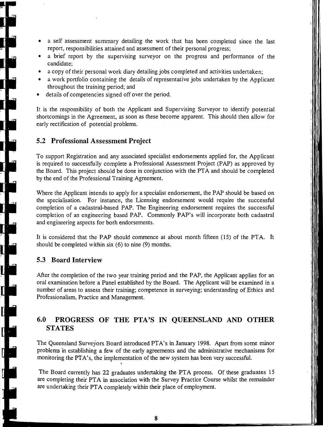- a self assessment summary detailing the work that has been completed since the last report, responsibilities attained and assessment of their personal progress;
- a brief report by the supervising surveyor on the progress and performance of the candidate;
- a copy of their personal work diary detailing jobs completed and activities undertaken;
- a work portfolio containing the details of representative jobs undertaken by the Applicant throughout the training period; and
- details of competencies signed off over the period.

It is the responsibility of both the Applicant and Supervising Surveyor to identify potential shortcomings in the Agreement. as soon as these become apparent. This should then allow for early rectification of potential problems.

#### **5.2 Professional Assessment Project**

To support Registration and any associated specialist endorsements applied for, the Applicant is required to successfully complete a Professional Assessment Project (PAP) as approved by the Board. This project should be done in conjunction with the PTA and should be completed by the end of the Professional Training Agreement.

Where the Applicant intends to apply for a specialist endorsement, the PAP should be based on the specialisation. For instance, the Licensing endorsement would require the successful completion of a cadastral-based PAP. The Engineering endorsement requires the successful completion of an engineering based PAP. Commonly PAP's will incorporate both cadastral and engineering aspects for both endorsements.

It is considered that the PAP should commence at about month fifteen (15) of the PTA. It should be completed within six (6) to nine (9) months.

#### **5.3 Board Interview**

┪<br>Ŋ

I.<br>I.

After the completion of the two year training period and the PAP, the Applicant applies for an oral examination before a Panel established by the Board. The Applicant will be examined in a number of areas to assess their training; competence in surveying; understanding of Ethics and Professionalism, Practice and Management.

# **6.0 PROGRESS OF THE PTA'S IN QUEENSLAND AND OTHER STATES**

The Queensland Surveyors Board introduced PTA's in January 1998. Apart from some minor problems in establishing a few of the early agreements and the administrative mechanisms for monitoring the PTA's, the implementation of the new system has been very successful.

The Board currently has 22 graduates undertaking the PTA process. Of these graduates 15 are completing their PTA in association with the Survey Practice Course whilst the remainder are undertaking their PT A completely within their place of employment.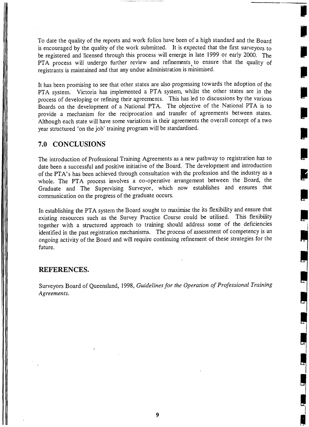To date the quality of the reports and work folios have been of a high standard and the Board is encouraged by the quality of the work submitted. It is expected that the first surveyors to be registered and licensed through this process will emerge in late 1999 or early 2000. The PTA process will undergo further review and refinements to ensure that the quality of registrants is maintained and that any undue administration is minimised. I

I

**I** 

It has been promising to see that other states are also progressing towards the adoption of the PTA system. Victoria has implemented a PTA system, whilst the other states are in the process of developing or refining their agreements. This has led to discussions by the various Boards on the development of a National PTA. The objective of the National PTA is to provide a mechanism for the reciprocation and transfer of agreements between states.<br>Although each state will have some variations in their agreements the overall concept of a two year structured 'on the job' training program will be standardised.<br>7.0 CONCLUSIONS

#### **7.0 CONCLUSIONS**

The introduction of Professional Training Agreements as a new pathway to registration has to date been a successful and positive initiative of the Board. The development and introduction of the PTA's has been achieved through consultation with the profession and the industry as a whole. The PTA process involves a co-operative arrangement between the Board, the Graduate and The Supervising Surveyor, which now establishes and ensures that **Supervision** on the progress of the graduate occurs.

In establishing the PTA system the Board sought to maximise the its flexibility and ensure that existing resources such as the Survey Practice Course could be utilised. This flexibility together with a structured approach to training should address some of the deficiencies identified in the past registration mechanisms. The process of assessment of competency is an ongoing activity of the Board and will require coritinuing refinement of these strategies for the future.

#### **REFERENCES.**

Surveyors Board of Queensland, 1998, *Guidelines for the Operation of Professional Training Agreements.*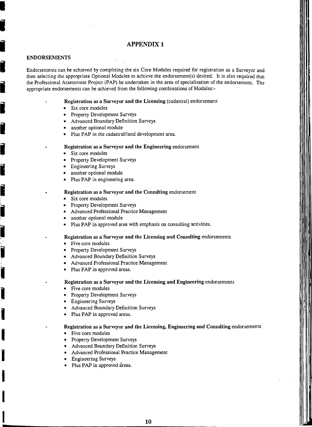# **I APPENDIX 1**

#### ENDORSEMENTS

I

**D** 

I

I

I

I

I

Endorsements can be achieved by completing the six Core Modules required for registration as a Surveyor and then selecting the appropriate Optional Modules to achieve the endorsement(s) desired. It is also required that the Professional Assessment Project (PAP) be undertaken in the area of specialisation of the endorsement. The appropriate endorsements can be achieved from the following combinations of Modules:

- Registration as a Surveyor and the Licensing (cadastral) endorsement Six core modules
	-
	- Property Development Surveys
	-
	-
- Advanced Boundary Definition Surveys<br>• another optional module<br>• Plus PAP in the cadastral/land development area.

#### Registration as a Surveyor and the Engineering endorsement

- Six core modules
- Property Development Surveys
- 
- Engineering Surveys<br>• another optional module
	- Plus PAP in engineering area.

# Registration as a Surveyor and the Consulting endorsement<br> $\bullet$  Six core modules

- Six core modules
- 
- Property Development Surveys<br>• Advanced Professional Practice<br>• another optional module • Advanced Professional Practice Management
	-
	- another optional module<br>• Plus PAP in approved area with emphasis on consulting activities.

• Plus PAP in approved area with emphasis on consulting activities.<br>
Registration as a Surveyor and the Licensing and Consulting endorsements

- Five core modules
- Property Development Surveys
- Advanced Boundary Definition Surveys
- , Advanced Professional Practice Management
- Plus PAP in approved areas.
- Registration as a Surveyor and the Licensing and Engineering endorsements
	-
- I Five core modules<br>
 Property Developm<br>
 Engineering Surve • Property Development Surveys
	- Engineering Surveys
- Advanced Boundary Definition Surveys<br>• Plus PAP in approved areas.
	- Plus PAP in approved areas.

#### Registration as a Surveyor and the Licensing, Engineering and Consulting endorsements

- 
- I Five core modules<br>
 Five core modules<br>
 Property Development Surveys
	- Advanced Boundary Definition Surveys
	- Advanced Professional Practice Management
	- Engineering Surveys
	- Plus PAP in approved areas.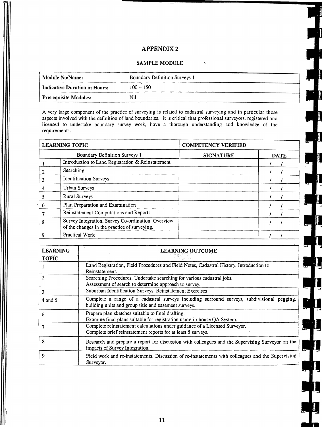#### **APPENDIX 2**

#### **SAMPLE MODULE**

| Module No/Name:               | Boundary Definition Surveys 1 |  |
|-------------------------------|-------------------------------|--|
| Indicative Duration in Hours: | $100 - 150$                   |  |
| <b>Prerequisite Modules:</b>  | Nï                            |  |

A very large component of the practice of surveying is related to cadastral surveying and in particular those<br>aspects involved with the definition of land boundaries. It is critical that professional surveyors, registered licensed to undertake boundary survey work, have a thorough understanding and knowledge of the requirements.

| <b>LEARNING TOPIC</b> |                                                                                                    | <b>COMPETENCY VERIFIED</b> |             |
|-----------------------|----------------------------------------------------------------------------------------------------|----------------------------|-------------|
|                       | Boundary Definition Surveys 1                                                                      | <b>SIGNATURE</b>           | <b>DATE</b> |
|                       | Introduction to Land Registration & Reinstatement                                                  |                            |             |
|                       | Searching                                                                                          |                            |             |
| 3                     | <b>Identification Surveys</b>                                                                      |                            |             |
|                       | Urban Surveys                                                                                      |                            |             |
|                       | Rural Surveys                                                                                      |                            |             |
| 6                     | Plan Preparation and Examination                                                                   |                            |             |
|                       | Reinstatement Computations and Reports                                                             |                            |             |
| 8                     | Survey Integration, Survey Co-ordination. Overview<br>of the changes in the practice of surveying. |                            |             |
|                       | Practical Work                                                                                     |                            |             |

| <b>LEARNING</b> | LEARNING OUTCOME                                                                                                                                   |  |
|-----------------|----------------------------------------------------------------------------------------------------------------------------------------------------|--|
| <b>TOPIC</b>    |                                                                                                                                                    |  |
|                 | Land Registration, Field Procedures and Field Notes, Cadastral History, Introduction to<br>Reinstatement.                                          |  |
|                 | Searching Procedures. Undertake searching for various cadastral jobs.<br>Assessment of search to determine approach to survey.                     |  |
| 3               | Suburban Identification Surveys, Reinstatement Exercises                                                                                           |  |
| $4$ and 5       | Complete a range of a cadastral surveys including surround surveys, subdivisional pegging,<br>building units and group title and easement surveys. |  |
| 6               | Prepare plan sketches suitable to final drafting.<br>Examine final plans suitable for registration using in-house QA System.                       |  |
|                 | Complete reinstatement calculations under guidance of a Licensed Surveyor.<br>Complete brief reinstatement reports for at least 5 surveys.         |  |
| 8               | Research and prepare a report for discussion with colleagues and the Supervising Surveyor on the<br>impacts of Survey Integration.                 |  |
| 9               | Field work and re-instatements. Discussion of re-instatements with colleagues and the Supervising<br>Surveyor.                                     |  |